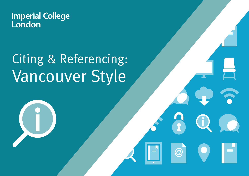**Imperial College<br>London** 

# Citing & Referencing: Vancouver Style

**What is referencing?**

 $\widehat{\omega}$ 

1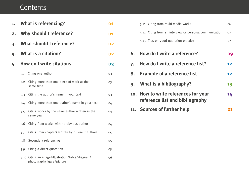# **Contents**

| 1. | <b>What is referencing?</b>     |                                                                               |    |  |
|----|---------------------------------|-------------------------------------------------------------------------------|----|--|
| 2. | <b>Why should I reference?</b>  |                                                                               |    |  |
| 3. | <b>What should I reference?</b> |                                                                               |    |  |
| 4. | What is a citation?             |                                                                               |    |  |
| 5. | <b>How do I write citations</b> |                                                                               |    |  |
|    | 5.1                             | Citing one author                                                             | 03 |  |
|    | 5.2                             | Citing more than one piece of work at the<br>same time                        | 03 |  |
|    | 5.3                             | Citing the author's name in your text                                         | 03 |  |
|    | 5.4                             | Citing more than one author's name in your text                               | 04 |  |
|    | 5.5                             | Citing works by the same author written in the<br>same year                   | 04 |  |
|    | 5.6                             | Citing from works with no obvious author                                      | 04 |  |
|    | 5.7                             | Citing from chapters written by different authors                             | 05 |  |
|    | 5.8                             | Secondary referencing                                                         | 05 |  |
|    | 5.9                             | Citing a direct quotation                                                     | 05 |  |
|    |                                 | 5.10 Citing an image/illustration/table/diagram/<br>photograph/figure/picture | 06 |  |

|    | 5.11 Citing from multi-media works                                      | 06 |
|----|-------------------------------------------------------------------------|----|
|    | 5.12 Citing from an interview or personal communication                 | 07 |
|    | 5.13 Tips on good quotation practice                                    | 07 |
|    | 6. How do I write a reference?                                          | 09 |
| 7. | <b>How do I write a reference list?</b>                                 | 12 |
| 8. | <b>Example of a reference list</b>                                      |    |
|    | 9. What is a bibliography?                                              | 13 |
|    | 10. How to write references for your<br>reference list and bibliography | 14 |
|    | 11. Sources of further help                                             | 21 |
|    |                                                                         |    |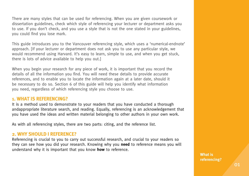There are many styles that can be used for referencing. When you are given coursework or dissertation guidelines, check which style of referencing your lecturer or department asks you to use. If you don't check, and you use a style that is not the one stated in your guidelines, you could find you lose mark.

This guide introduces you to the Vancouver referencing style, which uses a 'numerical-endnote' approach. [If your lecturer or department does not ask you to use any particular style, we would recommend using Harvard. It's easy to learn, simple to use, and when you get stuck, there is lots of advice available to help you out.]

When you begin your research for any piece of work, it is important that you record the details of all the information you find. You will need these details to provide accurate references, and to enable you to locate the information again at a later date, should it be necessary to do so. Section 6 of this guide will help you identify what information you need, regardless of which referencing style you choose to use.

#### **1. WHAT IS REFERENCING?**

It is a method used to demonstrate to your readers that you have conducted a thorough andappropriate literature search, and reading. Equally, referencing is an acknowledgement that you have used the ideas and written material belonging to other authors in your own work.

As with all referencing styles, there are two parts: citing, and the reference list.

#### **2. WHY SHOULD I REFERENCE?**

Referencing is crucial to you to carry out successful research, and crucial to your readers so they can see how you did your research. Knowing why you **need** to reference means you will understand why it is important that you know **how** to reference.

> **What is referencing?**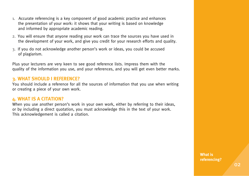- 1. Accurate referencing is a key component of good academic practice and enhances the presentation of your work: it shows that your writing is based on knowledge and informed by appropriate academic reading.
- 2. You will ensure that anyone reading your work can trace the sources you have used in the development of your work, and give you credit for your research efforts and quality.
- 3. If you do not acknowledge another person's work or ideas, you could be accused of plagiarism.

Plus your lecturers are very keen to see good reference lists. Impress them with the quality of the information you use, and your references, and you will get even better marks.

# **3. WHAT SHOULD I REFERENCE?**

You should include a reference for all the sources of information that you use when writing or creating a piece of your own work.

# **4. WHAT IS A CITATION?**

When you use another person's work in your own work, either by referring to their ideas, or by including a direct quotation, you must acknowledge this in the text of your work. This acknowledgement is called a citation.

> **What is referencing?**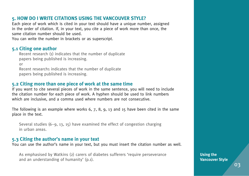# **5. HOW DO I WRITE CITATIONS USING THE VANCOUVER STYLE?**

Each piece of work which is cited in your text should have a unique number, assigned in the order of citation. If, in your text, you cite a piece of work more than once, the same citation number should be used.

You can write the number in brackets or as superscript.

# **5.1 Citing one author**

Recent research (1) indicates that the number of duplicate papers being published is increasing. or

Recent research1 indicates that the number of duplicate papers being published is increasing.

# **5.2 Citing more than one piece of work at the same time**

If you want to cite several pieces of work in the same sentence, you will need to include the citation number for each piece of work. A hyphen should be used to link numbers which are inclusive, and a comma used where numbers are not consecutive.

The following is an example where works 6, 7, 8, 9, 13 and 15 have been cited in the same place in the text.

Several studies  $(6-9, 13, 15)$  have examined the effect of congestion charging in urban areas.

# **5.3 Citing the author's name in your text**

You can use the author's name in your text, but you must insert the citation number as well.

As emphasised by Watkins (2) carers of diabetes sufferers 'require perseverance and an understanding of humanity' (p.1).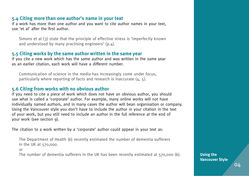# **5.4 Citing more than one author's name in your text**

If a work has more than one author and you want to cite author names in your text, use 'et al' after the first author.

Simons et al (3) state that the principle of effective stress is 'imperfectly known and understood by many practising engineers' (p.4).

# **5.5 Citing works by the same author written in the same year**

If you cite a new work which has the same author and was written in the same year as an earlier citation, each work will have a different number.

Communication of science in the media has increasingly come under focus, particularly where reporting of facts and research is inaccurate (4, 5).

# **5.6 Citing from works with no obvious author**

If you need to cite a piece of work which does not have an obvious author, you should use what is called a 'corporate' author. For example, many online works will not have individually named authors, and in many cases the author will bean organisation or company. Using the Vancouver style you don't have to include the author in your citation in the text of your work, but you still need to include an author in the full reference at the end of your work (see section 9).

The citation to a work written by a 'corporate' author could appear in your text as:

The Department of Health (6) recently estimated the number of dementia sufferers in the UK at 570,000.

or

The number of dementia sufferers in the UK has been recently estimated at 570,000 (6). **Using the** 

**Vancouver Style**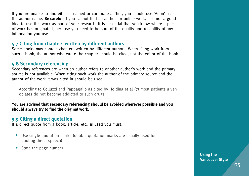If you are unable to find either a named or corporate author, you should use 'Anon' as the author name. **Be careful:** if you cannot find an author for online work, it is not a good idea to use this work as part of your research. It is essential that you know where a piece of work has originated, because you need to be sure of the quality and reliability of any information you use.

# **5.7 Citing from chapters written by different authors**

Some books may contain chapters written by different authors. When citing work from such a book, the author who wrote the chapter should be cited, not the editor of the book.

# **5.8 Secondary referencing**

Secondary references are when an author refers to another author's work and the primary source is not available. When citing such work the author of the primary source and the author of the work it was cited in should be used.

According to Colluzzi and Pappagallo as cited by Holding et al (7) most patients given opiates do not become addicted to such drugs.

**You are advised that secondary referencing should be avoided wherever possible and you should always try to find the original work.**

# **5.9 Citing a direct quotation**

If a direct quote from a book, article, etc., is used you must:

- **•** Use single quotation marks (double quotation marks are usually used for quoting direct speech)
- **•** State the page number

**Using the Vancouver Style**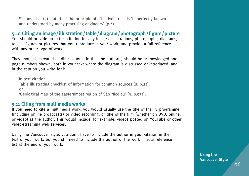Simons et al (3) state that the principle of effective stress is 'imperfectly known and understood by many practising engineers' (p.4).

# **5.10 Citing an image/illustration/table/diagram/photograph/figure/picture**

You should provide an in-text citation for any images, illustrations, photographs, diagrams, tables, figures or pictures that you reproduce in your work, and provide a full reference as with any other type of work.

They should be treated as direct quotes in that the author(s) should be acknowledged and page numbers shown; both in your text where the diagram is discussed or introduced, and in the caption you write for it.

In-text citation: Table illustrating checklist of information for common sources (8: p.22). or 'Geological map of the easternmost region of São Nicolau' (9: p.532).

#### **5.11 Citing from multimedia works**

If you need to cite a multimedia work, you would usually use the title of the TV programme (including online broadcasts) or video recording, or title of the film (whether on DVD, online, or video) as the author. This would include, for example, videos posted on YouTube or other video-streaming web services.

Using the Vancouver style, you don't have to include the author in your citation in the text of your work, but you still need to include the author of the work in your reference list at the end of your work.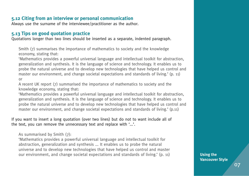# **5.12 Citing from an interview or personal communication**

Always use the surname of the interviewee/practitioner as the author.

# **5.13 Tips on good quotation practice**

Quotations longer than two lines should be inserted as a separate, indented paragraph.

Smith (7) summarises the importance of mathematics to society and the knowledge economy, stating that:

'Mathematics provides a powerful universal language and intellectual toolkit for abstraction, generalization and synthesis. It is the language of science and technology. It enables us to probe the natural universe and to develop new technologies that have helped us control and master our environment, and change societal expectations and standards of living.' (p. 11) or

A recent UK report (7) summarised the importance of mathematics to society and the knowledge economy, stating that:

'Mathematics provides a powerful universal language and intellectual toolkit for abstraction, generalization and synthesis. It is the language of science and technology. It enables us to probe the natural universe and to develop new technologies that have helped us control and master our environment, and change societal expectations and standards of living.' (p.11)

If you want to insert a long quotation (over two lines) but do not to want include all of the text, you can remove the unnecessary text and replace with '...'.

As summarised by Smith (7):

'Mathematics provides a powerful universal language and intellectual toolkit for abstraction, generalization and synthesis ... It enables us to probe the natural universe and to develop new technologies that have helped us control and master our environment, and change societal expectations and standards of living.' (p. 11)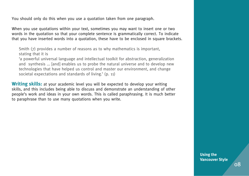You should only do this when you use a quotation taken from one paragraph.

When you use quotations within your text, sometimes you may want to insert one or two words in the quotation so that your complete sentence is grammatically correct. To indicate that you have inserted words into a quotation, these have to be enclosed in square brackets.

Smith (7) provides a number of reasons as to why mathematics is important, stating that it is

'a powerful universal language and intellectual toolkit for abstraction, generalization and synthesis ... [and] enables us to probe the natural universe and to develop new technologies that have helped us control and master our environment, and change societal expectations and standards of living.' (p. 11)

**Writing skills:** at your academic level you will be expected to develop your writing skills, and this includes being able to discuss and demonstrate an understanding of other people's work and ideas in your own words. This is called paraphrasing. It is much better to paraphrase than to use many quotations when you write.

> **Using the Vancouver Style**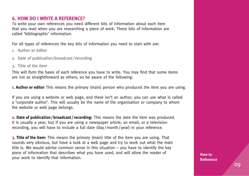# **6. HOW DO I WRITE A REFERENCE?**

To write your own references you need different bits of information about each item that you read when you are researching a piece of work. These bits of information are called 'bibliographic' information.

For all types of references the key bits of information you need to start with are:

- 1. Author or editor
- 2. Date of publication/broadcast /recording
- 3. Title of the item

This will form the basis of each reference you have to write. You may find that some items are not as straightforward as others, so be aware of the following:

**1. Author or editor** This means the primary (main) person who produced the item you are using.

If you are using a website or web page, and there isn't an author, you can use what is called a 'corporate author'. This will usually be the name of the organisation or company to whom the website or web page belongs.

**2. Date of publication/broadcast/recording:** This means the date the item was produced. It is usually a year, but if you are using a newspaper article, an email, or a television recording, you will have to include a full date (day / month / year) in your reference.

**3. Title of the item:** This means the primary (main) title of the item you are using. That sounds very obvious, but have a look at a web page and try to work out what the main title is. We would advise common sense in this situation  $-$  you have to identify the key piece of information that describes what you have used, and will allow the reader of your work to identify that information.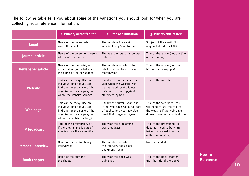The following table tells you about some of the variations you should look for when you are collecting your reference information.

|                           | 1. Primary author/editor                                                                                                                           | 2. Date of publication                                                                                                                      | 3. Primary title of item                                                                                                       |
|---------------------------|----------------------------------------------------------------------------------------------------------------------------------------------------|---------------------------------------------------------------------------------------------------------------------------------------------|--------------------------------------------------------------------------------------------------------------------------------|
| <b>Email</b>              | Name of the person who<br>wrote the email                                                                                                          | The full date the email<br>was sent: day/month/year                                                                                         | Subject of the email. This<br>may include RE: or FWD:                                                                          |
| <b>lournal article</b>    | Name of the person or persons<br>who wrote the article                                                                                             | The year the journal issue was<br>published                                                                                                 | Title of the article (not the title<br>of the journal)                                                                         |
| <b>Newspaper article</b>  | Name of the journalist, or<br>if there is no journalist name,<br>the name of the newspaper                                                         | The full date on which the<br>article was published: day/<br>month/year                                                                     | Title of the article (not the<br>title of the newspaper)                                                                       |
| <b>Website</b>            | This can be tricky. Use an<br>individual name if you can<br>find one, or the name of the<br>organisation or company to<br>whom the website belongs | Usually the current year, the<br>year when the website was<br>last updated, or the latest<br>date next to the copyright<br>statement/symbol | Title of the website                                                                                                           |
| Web page                  | This can be tricky. Use an<br>individual name if you can<br>find one, or the name of the<br>organisation or company to<br>whom the website belongs | Usually the current year, but<br>if the web page has a full date<br>of publication, you may also<br>need that: day/month/year               | Title of the web page. You<br>will need to use the title of<br>the website if the web page<br>doesn't have an individual title |
| <b>TV</b> broadcast       | Title of the programme, or<br>if the programme is part of<br>a series, use the series title                                                        | The year the programme<br>was broadcast                                                                                                     | Title of the programme (it<br>does not need to be written<br>twice if you used it as the<br>author information)                |
| <b>Personal interview</b> | Name of the person being<br>interviewed                                                                                                            | The full date on which<br>the interview took place:<br>day/month/year                                                                       | No title needed                                                                                                                |
| <b>Book chapter</b>       | Name of the author of<br>the chapter                                                                                                               | The year the book was<br>published                                                                                                          | Title of the book chapter<br>(not the title of the book)                                                                       |

**How to Reference**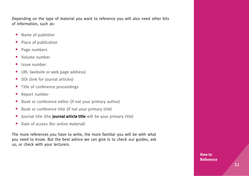Depending on the type of material you want to reference you will also need other bits of information, such as:

- **•** Name of publisher
- **•** Place of publication
- **•** Page numbers
- **•** Volume number
- **•** Issue number
- **•** URL (website or web page address)
- **•** DOI (link for journal articles)
- **•** Title of conference proceedings
- **•** Report number
- **•** Book or conference editor (if not your primary author)
- **•** Book or conference title (if not your primary title)
- **•** Journal title (the **journal article title** will be your primary title)
- **•** Date of access (for online material)

The more references you have to write, the more familiar you will be with what you need to know. But the best advice we can give is to check our guides, ask us, or check with your lecturers.

> **How to Reference**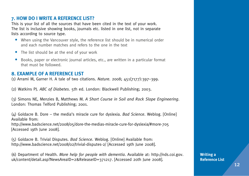# **7. HOW DO I WRITE A REFERENCE LIST?**

This is your list of all the sources that have been cited in the text of your work. The list is inclusive showing books, journals etc. listed in one list, not in separate lists according to source type.

- **•** When using the Vancouver style, the reference list should be in numerical order and each number matches and refers to the one in the text
- **•** The list should be at the end of your work
- **•** Books, paper or electronic journal articles, etc., are written in a particular format that must be followed.

# **8. EXAMPLE OF A REFERENCE LIST**

(1) Arrami M, Garner H. A tale of two citations. *Nature.* 2008; 451(7177):397–399.

(2) Watkins PJ. *ABC of Diabetes*. 5th ed. London: Blackwell Publishing; 2003.

(3) Simons NE, Menzies B, Matthews M. *A Short Course in Soil and Rock Slope Engineering*. London: Thomas Telford Publishing; 2001.

(4) Goldacre B. Dore – the media's miracle cure for dyslexia. *Bad Science*. Weblog. [Online] Available from:

http://www.badscience.net/2008/05/dore-the-medias-miracle-cure-for-dyslexia/#more-705 [Accessed 19th June 2008].

(5) Goldacre B. Trivial Disputes. *Bad Science*. Weblog. [Online] Available from: http://www.badscience.net/2008/02/trivial-disputes-2/ [Accessed 19th June 2008].

(6) Department of Health. *More help for people with dementia*. Available at: http://nds.coi.gov. uk/content/detail.asp?NewsAreaID=2&ReleaseID=371217. [Accessed 20th June 2008].

**Writing a Reference List**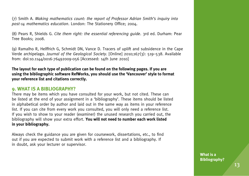(7) Smith A. *Making mathematics count: the report of Professor Adrian Smith's inquiry into post-14 mathematics education*. London: The Stationery Office; 2004.

(8) Pears R, Shields G. *Cite them right: the essential referencing guide*. 3rd ed. Durham: Pear Tree Books; 2008.

(9) Ramalho R, Helffrich G, Schmidt DN, Vance D. Tracers of uplift and subsidence in the Cape Verde archipelago. *Journal of the Geological Society*. [Online] 2010;167(3): 519–538. Available from: doi:10.1144/0016-76492009-056 [Accessed: 14th June 2010]

**The layout for each type of publication can be found on the following pages. If you are using the bibliographic software RefWorks, you should use the 'Vancouver' style to format your reference list and citations correctly.**

#### **9. WHAT IS A BIBLIOGRAPHY?**

There may be items which you have consulted for your work, but not cited. These can be listed at the end of your assignment in a 'bibliography'. These items should be listed in alphabetical order by author and laid out in the same way as items in your reference list. If you can cite from every work you consulted, you will only need a reference list. If you wish to show to your reader (examiner) the unused research you carried out, the bibliography will show your extra effort. **You will not need to number each work listed in your bibliography.**

Always check the guidance you are given for coursework, dissertations, etc., to find out if you are expected to submit work with a reference list and a bibliography. If in doubt, ask your lecturer or supervisor.

> **What is a Bibliography?**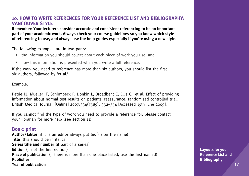#### **10. HOW TO WRITE REFERENCES FOR YOUR REFERENCE LIST AND BIBLIOGRAPHY: VANCOUVER STYLE**

**Remember: Your lecturers consider accurate and consistent referencing to be an important part of your academic work. Always check your course guidelines so you know which style of referencing to use, and always use the help guides especially if you're using a new style.**

The following examples are in two parts:

- the information you should collect about each piece of work you use; and
- how this information is presented when you write a full reference.

If the work you need to reference has more than six authors, you should list the first six authors, followed by 'et al.'

Example:

Petrie KJ, Mueller JT, Schirmbeck F, Donkin L, Broadbent E, Ellis CJ, et al. Effect of providing information about normal test results on patients' reassurance: randomised controlled trial. British Medical Journal. [Online] 2007;334(7589): 352–354 [Accessed 19th June 2009].

If you cannot find the type of work you need to provide a reference for, please contact your librarian for more help (see section 11).

#### **Book: print**

**Author/Editor** (if it is an editor always put (ed.) after the name) **Title** (this should be in italics) **Series title and number** (if part of a series) **Edition** (if not the first edition) **Place of publication** (if there is more than one place listed, use the first named) **Publisher Year of publication**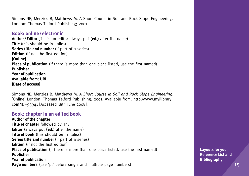Simons NE, Menzies B, Matthews M. A Short Course in Soil and Rock Slope Engineering. London: Thomas Telford Publishing; 2001.

#### **Book: online/electronic**

**Author/Editor** (if it is an editor always put **(ed.)** after the name) **Title** (this should be in italics) **Series title and number** (if part of a series) **Edition** (if not the first edition) **[Online] Place of publication** (if there is more than one place listed, use the first named) **Publisher Year of publication Available from: URL [Date of access]**

Simons NE, Menzies B, Matthews M. *A Short Course in Soil and Rock Slope Engineering*. [Online] London: Thomas Telford Publishing; 2001. Available from: http://www.myilibrary. com?ID=93941 [Accessed 18th June 2008].

#### **Book: chapter in an edited book**

**Author of the chapter Title of chapter** followed by, **In: Editor** (always put **(ed.)** after the name) **Title of book** (this should be in italics) **Series title and number** (if part of a series) **Edition** (if not the first edition) **Place of publication** (if there is more than one place listed, use the first named) **Publisher Year of publication Page numbers** (use 'p.' before single and multiple page numbers)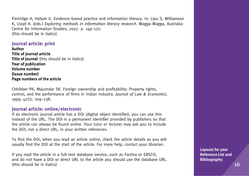Partridge H, Hallam G. Evidence–based practice and information literacy. In: Lipu S, Williamson K, Lloyd A. (eds.) *Exploring methods in information literacy research.* Wagga Wagga, Australia: Centre for Information Studies; 2007. p. 149–170. (this should be in italics)

#### **Journal article: print**

**Author Title of journal article Title of journal** (this should be in italics) **Year of publication Volume number (Issue number) Page numbers of the article**

Chhibber PK, Majumdar SK. Foreign ownership and profitability: Property rights, control, and the performance of firms in Indian industry. *Journal of Law & Economics.* 1999; 42(1): 209–238.

#### **Journal article: online/electronic**

If an electronic journal article has a DOI (digital object identifier), you can use this instead of the URL. The DOI is a permanent identifier provided by publishers so that the article can always be found online. Your tutor or lecturer may ask you to include the DOI, not a direct URL, in your written references.

To find the DOI, when you read an article online, check the article details as you will usually find the DOI at the start of the article. For more help, contact your librarian.

If you read the article in a full–text database service, such as Factiva or EBSCO, and do not have a DOI or direct URL to the article you should use the database URL. (this should be in italics)  $\sim$  16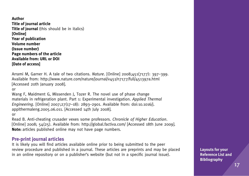**Author Title of journal article Title of journal** (this should be in italics) **[Online] Year of publication Volume number (Issue number) Page numbers of the article Available from: URL or DOI [Date of access]**

Arrami M, Garner H. A tale of two citations. *Nature*. [Online] 2008;451(7177): 397–399. Available from: http://www.nature.com/nature/journal/v451/n7177/full/451397a.html [Accessed 20th January 2008].

or

Wang F, Maidment G, Missenden J, Tozer R. The novel use of phase change materials in refrigeration plant. Part 1: Experimental investigation. *Applied Thermal Engineering*. [Online] 2007;27(17–18): 2893–2901. Available from: doi:10.1016/j. applthermaleng.2005.06.011. [Accessed 14th July 2008].

or

Read B. Anti-cheating crusader vexes some professors. *Chronicle of Higher Education*. [Online] 2008; 54(25). Available from: http://global.factiva.com/ [Accessed 18th June 2009]. **Note:** articles published online may not have page numbers.

#### **Pre-print journal articles**

It is likely you will find articles available online prior to being submitted to the peer review procedure and published in a journal. These articles are preprints and may be placed in an online repository or on a publisher's website (but not in a specific journal issue).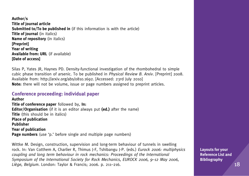**Author/s Title of journal article Submitted to/To be published in** (if this information is with the article) **Title of journal** (in italics) **Name of repository** (in italics) **[Preprint] Year of writing Available from: URL** (if available) **[Date of access]**

Silas P, Yates JR, Haynes PD. Density-functional investigation of the rhombohedral to simple cubic phase transition of arsenic. To be published in *Physical Review B. Arxiv.* [Preprint] 2008. Available from: http://arxiv.org/abs/0810.1692. [Accessed: 23rd July 2010] **Note:** there will not be volume, issue or page numbers assigned to preprint articles.

# **Conference proceeding: individual paper**

**Author Title of conference paper** followed by, **In: Editor/Organisation** (if it is an editor always put **(ed.)** after the name) **Title** (this should be in italics) **Place of publication Publisher Year of publication Page numbers** (use 'p.' before single and multiple page numbers)

Wittke M. Design, construction, supervision and long-term behaviour of tunnels in swelling rock. In: Van Cotthem A, Charlier R, Thimus J-F, Tshibangu J-P. (eds.) *Eurock 2006: multiphysics coupling and long term behaviour in rock mechanics: Proceedings of the International Symposium of the International Society for Rock Mechanics, EUROCK 2006, 9–12 May 2006, Liège, Belgium*. London: Taylor & Francis; 2006. p. 211–216.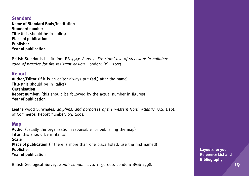#### **Standard Name of Standard Body/Institution Standard number Title** (this should be in italics) **Place of publication Publisher Year of publication**

British Standards Institution. BS 5950–8:2003. *Structural use of steelwork in building: code of practice for fire resistant design.* London: BSI; 2003.

#### **Report**

**Author/Editor** (if it is an editor always put **(ed.)** after the name) **Title** (this should be in italics) **Organisation Report number:** (this should be followed by the actual number in figures) **Year of publication**

Leatherwood S. Whales, *dolphins, and porpoises of the western North Atlantic.* U.S. Dept. of Commerce. Report number: 63, 2001.

#### **Map**

**Author** (usually the organisation responsible for publishing the map) **Title** (this should be in italics) **Scale**

**Place of publication** (if there is more than one place listed, use the first named) **Publisher Year of publication**

British Geological Survey. *South London,* 270. 1: 50 000. London: BGS; 1998.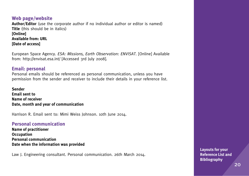# **Web page/website**

**Author/Editor** (use the corporate author if no individual author or editor is named) **Title** (this should be in italics) **[Online] Available from: URL**

**[Date of access]**

European Space Agency. *ESA: Missions, Earth Observation: ENVISAT.* [Online] Available from: http://envisat.esa.int/ [Accessed 3rd July 2008].

# **Email: personal**

Personal emails should be referenced as personal communication, unless you have permission from the sender and receiver to include their details in your reference list.

**Sender Email sent to Name of receiver Date, month and year of communication**

Harrison R. Email sent to: Mimi Weiss Johnson. 10th June 2014.

# **Personal communication**

**Name of practitioner Occupation Personal communication Date when the information was provided**

Law J. Engineering consultant. Personal communication. 26th March 2014.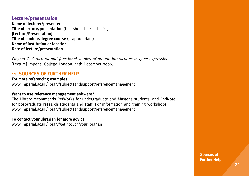#### **Lecture/presentation**

**Name of lecturer/presenter Title of lecture/presentation** (this should be in italics) **[Lecture/Presentation] Title of module/degree course** (if appropriate) **Name of institution or location Date of lecture/presentation**

Wagner G. *Structural and functional studies of protein interactions in gene expression*. [Lecture] Imperial College London. 12th December 2006.

# **11. SOURCES OF FURTHER HELP**

#### **For more referencing examples:**

www.imperial.ac.uk/library/subjectsandsupport/referencemanagement

#### **Want to use reference management software?**

The Library recommends RefWorks for undergraduate and Master's students, and EndNote for postgraduate research students and staff. For information and training workshops: www.imperial.ac.uk/library/subjectsandsupport/referencemanagement

#### **To contact your librarian for more advice:**

www.imperial.ac.uk/library/getintouch/yourlibrarian

**Sources of Further Help**